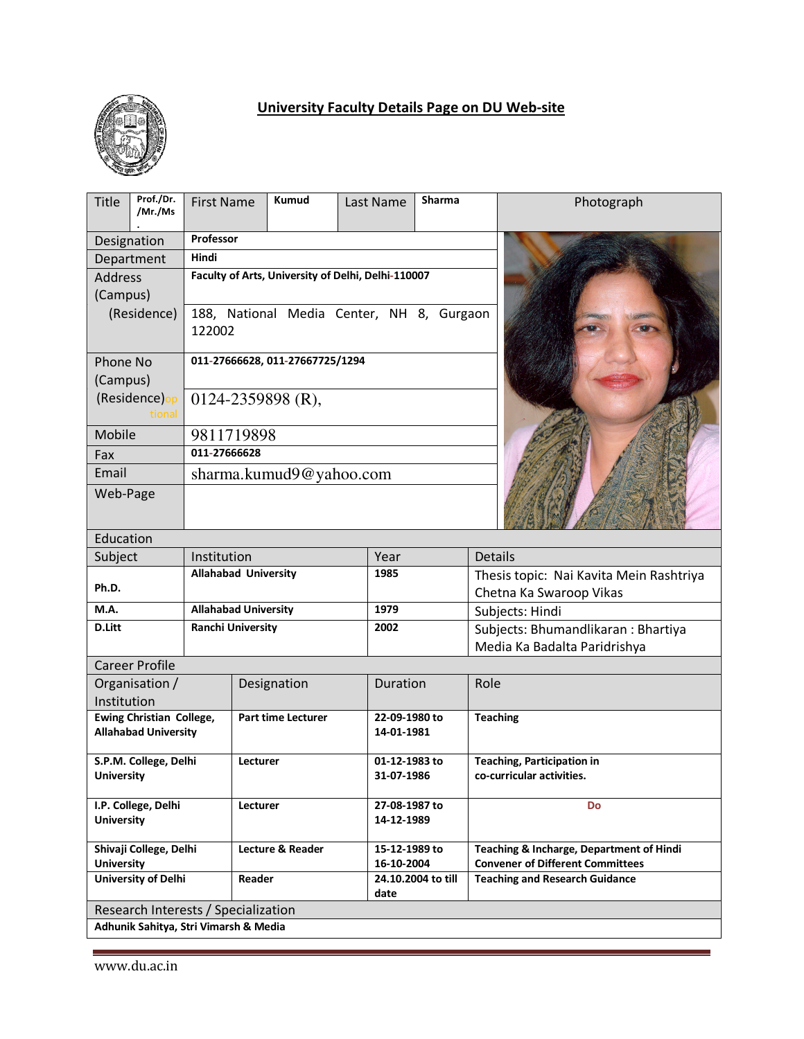

## **University Faculty Details Page on DU Web-site**

| Title                                   | Prof./Dr.<br>/Mr./Ms                  | <b>First Name</b>                                  |  | Kumud                   | Last Name          | Sharma |                                                                | Photograph                   |  |
|-----------------------------------------|---------------------------------------|----------------------------------------------------|--|-------------------------|--------------------|--------|----------------------------------------------------------------|------------------------------|--|
| Designation                             |                                       | Professor                                          |  |                         |                    |        |                                                                |                              |  |
| Department                              |                                       | Hindi                                              |  |                         |                    |        |                                                                |                              |  |
| <b>Address</b>                          |                                       | Faculty of Arts, University of Delhi, Delhi-110007 |  |                         |                    |        |                                                                |                              |  |
| (Campus)                                |                                       |                                                    |  |                         |                    |        |                                                                |                              |  |
| (Residence)                             |                                       | 188, National Media Center, NH 8, Gurgaon          |  |                         |                    |        |                                                                |                              |  |
|                                         |                                       | 122002                                             |  |                         |                    |        |                                                                |                              |  |
| Phone No<br>(Campus)                    |                                       | 011-27666628, 011-27667725/1294                    |  |                         |                    |        |                                                                |                              |  |
| (Residence)op                           |                                       | $0124 - 2359898$ (R),                              |  |                         |                    |        |                                                                |                              |  |
| tional                                  |                                       |                                                    |  |                         |                    |        |                                                                |                              |  |
| Mobile                                  |                                       | 9811719898                                         |  |                         |                    |        |                                                                |                              |  |
| Fax                                     |                                       | 011-27666628                                       |  |                         |                    |        |                                                                |                              |  |
| Email                                   |                                       |                                                    |  | sharma.kumud9@yahoo.com |                    |        |                                                                |                              |  |
| Web-Page                                |                                       |                                                    |  |                         |                    |        |                                                                |                              |  |
|                                         |                                       |                                                    |  |                         |                    |        |                                                                |                              |  |
| Education                               |                                       |                                                    |  |                         |                    |        |                                                                |                              |  |
| Subject                                 |                                       | Institution                                        |  |                         | Year               |        | <b>Details</b>                                                 |                              |  |
|                                         |                                       | <b>Allahabad University</b>                        |  |                         | 1985               |        | Thesis topic: Nai Kavita Mein Rashtriya                        |                              |  |
| Ph.D.                                   |                                       |                                                    |  |                         |                    |        | Chetna Ka Swaroop Vikas                                        |                              |  |
| M.A.                                    |                                       | <b>Allahabad University</b>                        |  |                         | 1979               |        | Subjects: Hindi                                                |                              |  |
| D.Litt                                  |                                       | <b>Ranchi University</b>                           |  |                         | 2002               |        | Subjects: Bhumandlikaran : Bhartiya                            |                              |  |
|                                         |                                       |                                                    |  |                         |                    |        |                                                                | Media Ka Badalta Paridrishya |  |
|                                         | <b>Career Profile</b>                 |                                                    |  |                         |                    |        |                                                                |                              |  |
| Organisation /                          |                                       | Designation                                        |  |                         | Duration           |        | Role                                                           |                              |  |
| Institution<br>Ewing Christian College, |                                       | <b>Part time Lecturer</b>                          |  |                         | 22-09-1980 to      |        | <b>Teaching</b>                                                |                              |  |
| <b>Allahabad University</b>             |                                       |                                                    |  |                         | 14-01-1981         |        |                                                                |                              |  |
|                                         |                                       |                                                    |  |                         |                    |        |                                                                |                              |  |
|                                         | S.P.M. College, Delhi                 | Lecturer                                           |  |                         | 01-12-1983 to      |        | <b>Teaching, Participation in</b><br>co-curricular activities. |                              |  |
| <b>University</b>                       |                                       |                                                    |  |                         | 31-07-1986         |        |                                                                |                              |  |
|                                         | I.P. College, Delhi                   | Lecturer                                           |  |                         | 27-08-1987 to      |        | Do                                                             |                              |  |
| <b>University</b>                       |                                       |                                                    |  |                         | 14-12-1989         |        |                                                                |                              |  |
|                                         | Shivaji College, Delhi                | Lecture & Reader                                   |  |                         | 15-12-1989 to      |        | Teaching & Incharge, Department of Hindi                       |                              |  |
| <b>University</b>                       |                                       |                                                    |  |                         | 16-10-2004         |        | <b>Convener of Different Committees</b>                        |                              |  |
|                                         | <b>University of Delhi</b>            | Reader                                             |  | date                    | 24.10.2004 to till |        | <b>Teaching and Research Guidance</b>                          |                              |  |
|                                         | Research Interests / Specialization   |                                                    |  |                         |                    |        |                                                                |                              |  |
|                                         | Adhunik Sahitya, Stri Vimarsh & Media |                                                    |  |                         |                    |        |                                                                |                              |  |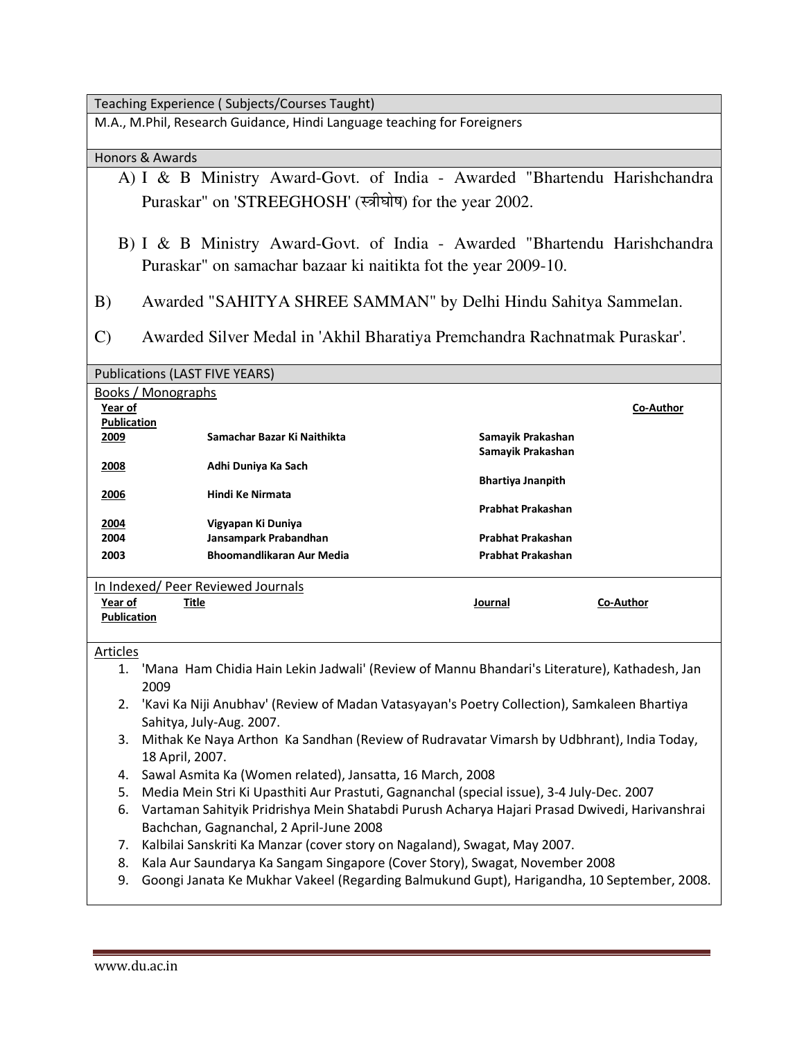Teaching Experience ( Subjects/Courses Taught)

M.A., M.Phil, Research Guidance, Hindi Language teaching for Foreigners

## Honors & Awards

- A) I & B Ministry Award-Govt. of India Awarded "Bhartendu Harishchandra Puraskar" on 'STREEGHOSH' (स्त्रीघोष) for the year 2002.
- B) I & B Ministry Award-Govt. of India Awarded "Bhartendu Harishchandra Puraskar" on samachar bazaar ki naitikta fot the year 2009-10.
- B) Awarded "SAHITYA SHREE SAMMAN" by Delhi Hindu Sahitya Sammelan.
- C) Awarded Silver Medal in 'Akhil Bharatiya Premchandra Rachnatmak Puraskar'.

## Publications (LAST FIVE YEARS)

| Books / Monographs |                                    |                          |           |
|--------------------|------------------------------------|--------------------------|-----------|
| Year of            |                                    |                          | Co-Author |
| <b>Publication</b> |                                    |                          |           |
| 2009               | Samachar Bazar Ki Naithikta        | Samayik Prakashan        |           |
|                    |                                    | Samayik Prakashan        |           |
| 2008               | Adhi Duniya Ka Sach                |                          |           |
|                    |                                    | <b>Bhartiya Jnanpith</b> |           |
| 2006               | Hindi Ke Nirmata                   |                          |           |
|                    |                                    | <b>Prabhat Prakashan</b> |           |
| 2004               | Vigyapan Ki Duniya                 |                          |           |
| 2004               | Jansampark Prabandhan              | Prabhat Prakashan        |           |
| 2003               | <b>Bhoomandlikaran Aur Media</b>   | Prabhat Prakashan        |           |
|                    |                                    |                          |           |
|                    | In Indexed/ Peer Reviewed Journals |                          |           |
| Year of            | <u>Title</u>                       | Journal                  | Co-Author |
| <b>Publication</b> |                                    |                          |           |
|                    |                                    |                          |           |
| Articles           |                                    |                          |           |

- 1. 'Mana Ham Chidia Hain Lekin Jadwali' (Review of Mannu Bhandari's Literature), Kathadesh, Jan 2009
- 2. 'Kavi Ka Niji Anubhav' (Review of Madan Vatasyayan's Poetry Collection), Samkaleen Bhartiya Sahitya, July-Aug. 2007.
- 3. Mithak Ke Naya Arthon Ka Sandhan (Review of Rudravatar Vimarsh by Udbhrant), India Today, 18 April, 2007.
- 4. Sawal Asmita Ka (Women related), Jansatta, 16 March, 2008
- 5. Media Mein Stri Ki Upasthiti Aur Prastuti, Gagnanchal (special issue), 3-4 July-Dec. 2007
- 6. Vartaman Sahityik Pridrishya Mein Shatabdi Purush Acharya Hajari Prasad Dwivedi, Harivanshrai Bachchan, Gagnanchal, 2 April-June 2008
- 7. Kalbilai Sanskriti Ka Manzar (cover story on Nagaland), Swagat, May 2007.
- 8. Kala Aur Saundarya Ka Sangam Singapore (Cover Story), Swagat, November 2008
- 9. Goongi Janata Ke Mukhar Vakeel (Regarding Balmukund Gupt), Harigandha, 10 September, 2008.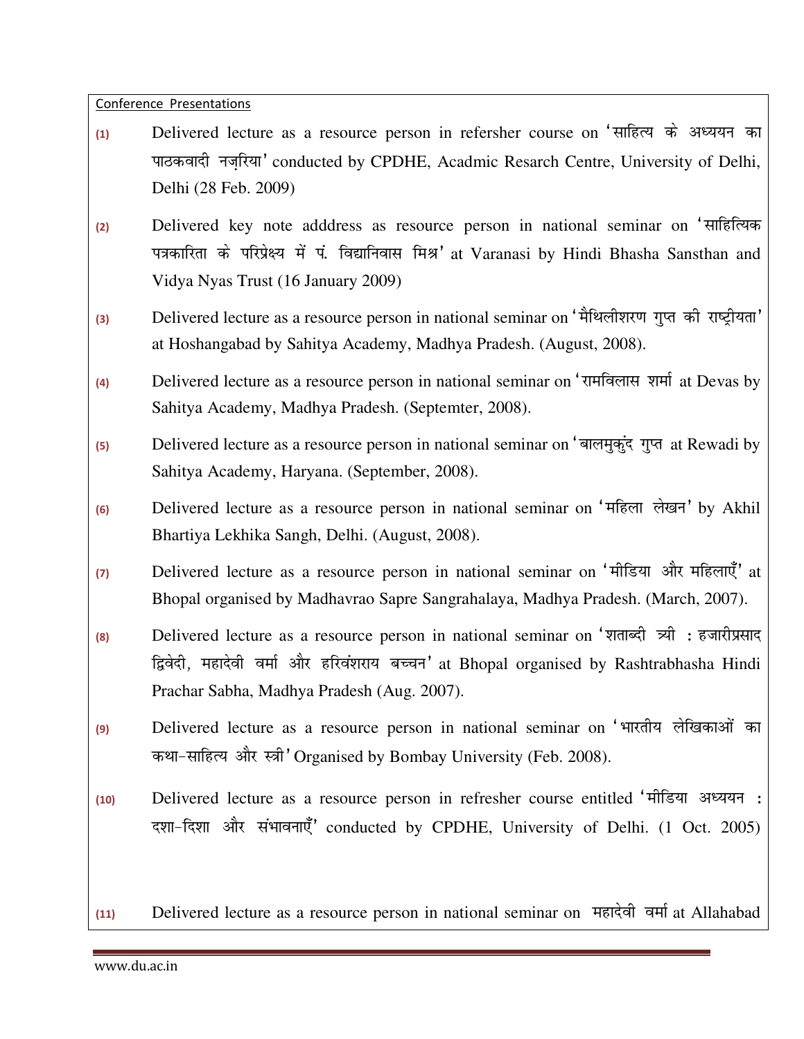Conference Presentations

- (1) Delivered lecture as a resource person in refersher course on 'साहित्य के अध्ययन का पाठकवादी नजरिया' conducted by CPDHE, Acadmic Resarch Centre, University of Delhi, Delhi (28 Feb. 2009)
- **(2)** Delivered key note adddress as resource person in national seminar on ^lkfgfR;d पत्रकारिता के परिप्रेक्ष्य में पं. विद्यानिवास मिश्र' at Varanasi by Hindi Bhasha Sansthan and Vidya Nyas Trust (16 January 2009)
- <sup>(3)</sup> Delivered lecture as a resource person in national seminar on 'मैथिलीशरण गुप्त की राष्ट्रीयता' at Hoshangabad by Sahitya Academy, Madhya Pradesh. (August, 2008).
- (4) Delivered lecture as a resource person in national seminar on 'रामविलास शर्मा at Devas by Sahitya Academy, Madhya Pradesh. (Septemter, 2008).
- <sup>(5)</sup> Delivered lecture as a resource person in national seminar on 'बालमुकुंद गुप्त at Rewadi by Sahitya Academy, Haryana. (September, 2008).
- **(6)** Delivered lecture as a resource person in national seminar on ^efgyk ys[ku\* by Akhil Bhartiya Lekhika Sangh, Delhi. (August, 2008).
- (7) Delivered lecture as a resource person in national seminar on 'मीडिया और महिलाएँ' at Bhopal organised by Madhavrao Sapre Sangrahalaya, Madhya Pradesh. (March, 2007).
- <sup>(8)</sup> Delivered lecture as a resource person in national seminar on 'शताब्दी त्र्यी : हजारीप्रसाद द्विवेदी, महादेवी वर्मा और हरिवंशराय बच्चन' at Bhopal organised by Rashtrabhasha Hindi Prachar Sabha, Madhya Pradesh (Aug. 2007).
- <sup>(9)</sup> Delivered lecture as a resource person in national seminar on 'भारतीय लेखिकाओं का कथा-साहित्य और स्त्री' Organised by Bombay University (Feb. 2008).
- 10) Delivered lecture as a resource person in refresher course entitled 'मीडिया अध्ययन: दशा-दिशा और संभावनाएँ' conducted by CPDHE, University of Delhi. (1 Oct. 2005)

(11) Delivered lecture as a resource person in national seminar on महादेवी वर्मा at Allahabad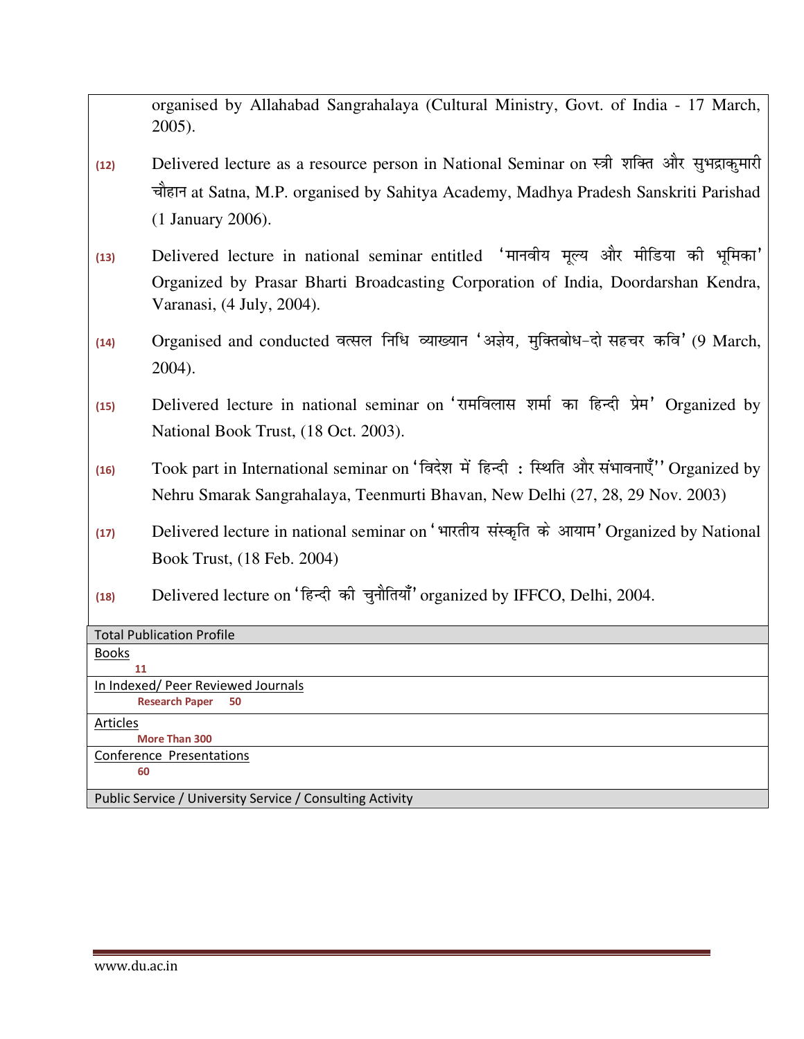organised by Allahabad Sangrahalaya (Cultural Ministry, Govt. of India - 17 March, 2005).

- (12) Delivered lecture as a resource person in National Seminar on स्त्री शक्ति और सुभद्राकुमारी चौहान at Satna, M.P. organised by Sahitya Academy, Madhya Pradesh Sanskriti Parishad (1 January 2006).
- (13) Delivered lecture in national seminar entitled 'मानवीय मूल्य और मीडिया की भूमिका' Organized by Prasar Bharti Broadcasting Corporation of India, Doordarshan Kendra, Varanasi, (4 July, 2004).
- (14) Organised and conducted वत्सल निधि व्याख्यान 'अज्ञेय, मुक्तिबोध-दो सहचर कवि' (9 March, 2004).
- (15) Delivered lecture in national seminar on 'रामविलास शर्मा का हिन्दी प्रेम' Organized by National Book Trust, (18 Oct. 2003).
- (16) Took part in International seminar on 'विदेश में हिन्दी: स्थिति और संभावनाएँ'' Organized by Nehru Smarak Sangrahalaya, Teenmurti Bhavan, New Delhi (27, 28, 29 Nov. 2003)
- (17) Delivered lecture in national seminar on 'भारतीय संस्कृति के आयाम' Organized by National Book Trust, (18 Feb. 2004)
- <sup>(18)</sup> Delivered lecture on 'हिन्दी की चुनौतियाँ' organized by IFFCO, Delhi, 2004.

| <b>Total Publication Profile</b>                          |  |  |
|-----------------------------------------------------------|--|--|
| <b>Books</b>                                              |  |  |
| 11                                                        |  |  |
| In Indexed/Peer Reviewed Journals                         |  |  |
| <b>Research Paper</b><br>50                               |  |  |
| Articles                                                  |  |  |
| <b>More Than 300</b>                                      |  |  |
| Conference Presentations                                  |  |  |
| 60                                                        |  |  |
|                                                           |  |  |
| Public Service / University Service / Consulting Activity |  |  |